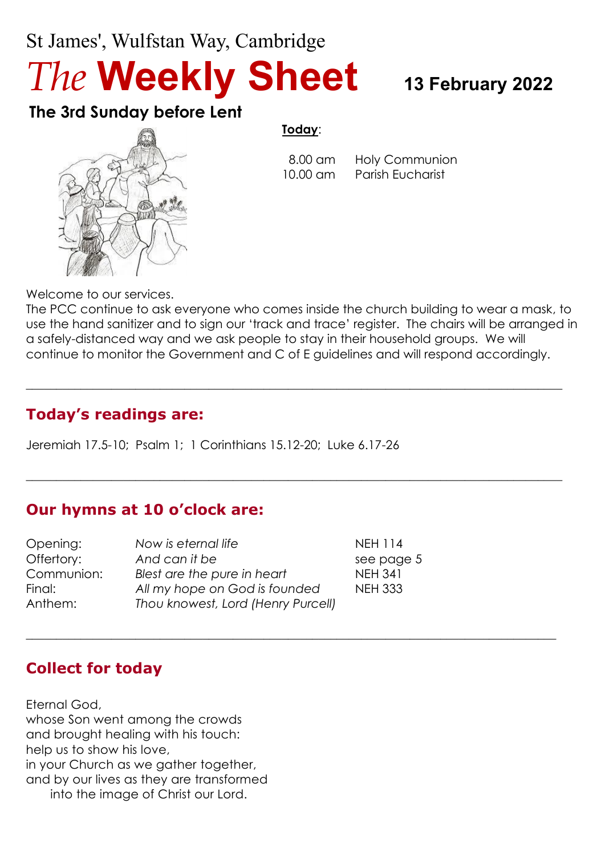# St James', Wulfstan Way, Cambridge *The* **Weekly Sheet <sup>13</sup> February <sup>2022</sup>**

# **The 3rd Sunday before Lent**

### **Today**:

 8.00 am Holy Communion 10.00 am Parish Eucharist

Welcome to our services.

The PCC continue to ask everyone who comes inside the church building to wear a mask, to use the hand sanitizer and to sign our 'track and trace' register. The chairs will be arranged in a safely-distanced way and we ask people to stay in their household groups. We will continue to monitor the Government and C of E guidelines and will respond accordingly.

 $\_$  , and the set of the set of the set of the set of the set of the set of the set of the set of the set of the set of the set of the set of the set of the set of the set of the set of the set of the set of the set of th

 $\_$  , and the set of the set of the set of the set of the set of the set of the set of the set of the set of the set of the set of the set of the set of the set of the set of the set of the set of the set of the set of th

 $\_$  , and the set of the set of the set of the set of the set of the set of the set of the set of the set of the set of the set of the set of the set of the set of the set of the set of the set of the set of the set of th

# **Today's readings are:**

Jeremiah 17.5-10; Psalm 1; 1 Corinthians 15.12-20; Luke 6.17-26

# **Our hymns at 10 o'clock are:**

Opening: **Now is eternal life** NEH 114 Offertory: **And can it be** see page 5 Communion: Blest are the pure in heart NEH 341 Final: *All my hope on God is founded* NEH 333 Anthem: *Thou knowest, Lord (Henry Purcell)*

# **Collect for today**

Eternal God, whose Son went among the crowds and brought healing with his touch: help us to show his love, in your Church as we gather together, and by our lives as they are transformed into the image of Christ our Lord.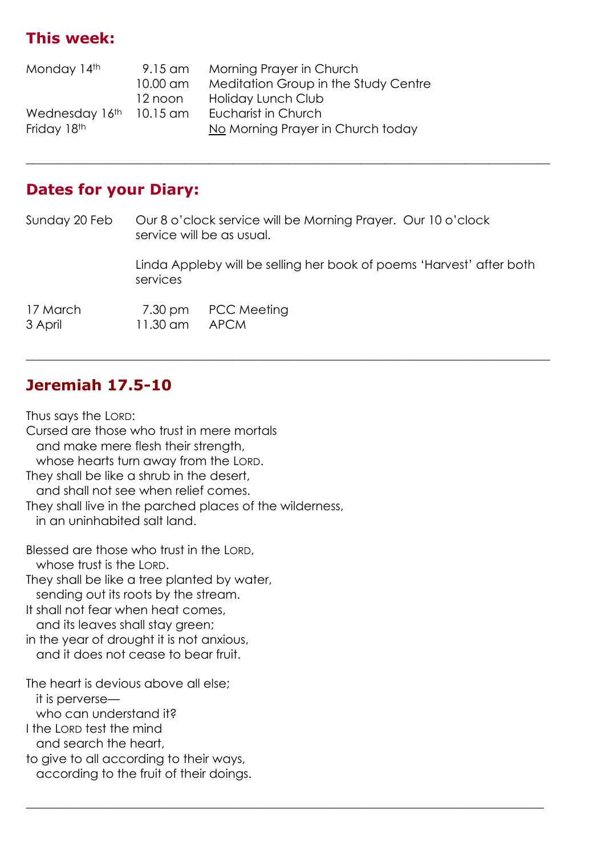# **This week:**

| Monday 14th    | 9.15 am    | Morning Prayer in Church             |
|----------------|------------|--------------------------------------|
|                | $10.00$ am | Meditation Group in the Study Centre |
|                | 12 noon    | Holiday Lunch Club                   |
| Wednesday 16th | 10.15 am   | Eucharist in Church                  |
| Friday 18th    |            | No Morning Prayer in Church today    |

## **Dates for your Diary:**

Sunday 20 Feb Our 8 o'clock service will be Morning Prayer. Our 10 o'clock service will be as usual.

 $\_$  , and the set of the set of the set of the set of the set of the set of the set of the set of the set of the set of the set of the set of the set of the set of the set of the set of the set of the set of the set of th

 $\_$  , and the set of the set of the set of the set of the set of the set of the set of the set of the set of the set of the set of the set of the set of the set of the set of the set of the set of the set of the set of th

 $\_$  , and the set of the set of the set of the set of the set of the set of the set of the set of the set of the set of the set of the set of the set of the set of the set of the set of the set of the set of the set of th

Linda Appleby will be selling her book of poems 'Harvest' after both services

| 17 March | 7.30 pm  | <b>PCC Meeting</b> |
|----------|----------|--------------------|
| 3 April  | 11.30 am | APCM               |

# **Jeremiah 17.5-10**

Thus says the LORD: Cursed are those who trust in mere mortals and make mere flesh their strength, whose hearts turn away from the LORD. They shall be like a shrub in the desert, and shall not see when relief comes. They shall live in the parched places of the wilderness, in an uninhabited salt land. Blessed are those who trust in the LORD, whose trust is the LORD. They shall be like a tree planted by water, sending out its roots by the stream. It shall not fear when heat comes, and its leaves shall stay green; in the year of drought it is not anxious, and it does not cease to bear fruit. The heart is devious above all else; it is perverse who can understand it? I the LORD test the mind and search the heart, to give to all according to their ways, according to the fruit of their doings.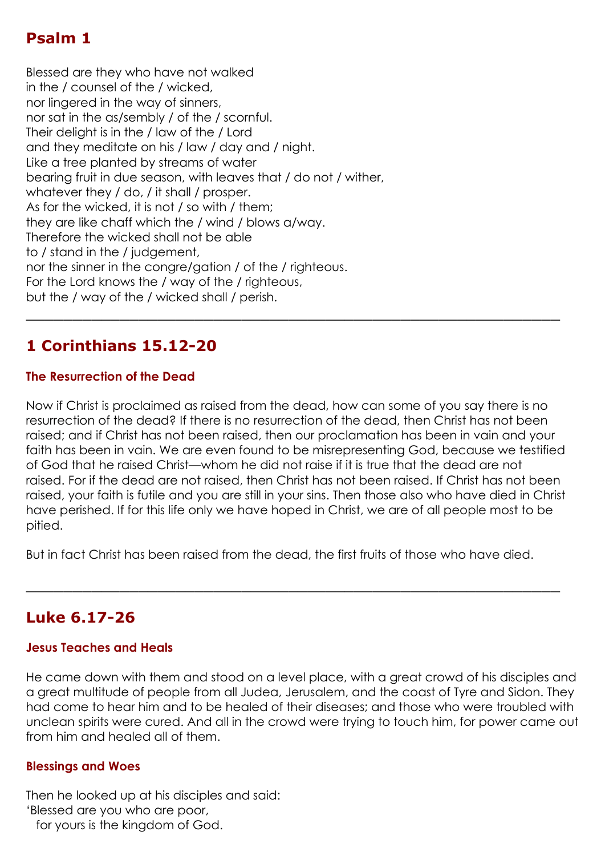# **Psalm 1**

Blessed are they who have not walked in the / counsel of the / wicked, nor lingered in the way of sinners, nor sat in the as/sembly / of the / scornful. Their delight is in the / law of the / Lord and they meditate on his / law / day and / night. Like a tree planted by streams of water bearing fruit in due season, with leaves that / do not / wither, whatever they / do, / it shall / prosper. As for the wicked, it is not / so with / them; they are like chaff which the / wind / blows a/way. Therefore the wicked shall not be able to / stand in the / judgement, nor the sinner in the congre/gation / of the / righteous. For the Lord knows the / way of the / righteous, but the / way of the / wicked shall / perish.

# **1 Corinthians 15.12-20**

#### **The Resurrection of the Dead**

Now if Christ is proclaimed as raised from the dead, how can some of you say there is no resurrection of the dead? If there is no resurrection of the dead, then Christ has not been raised; and if Christ has not been raised, then our proclamation has been in vain and your faith has been in vain. We are even found to be misrepresenting God, because we testified of God that he raised Christ—whom he did not raise if it is true that the dead are not raised. For if the dead are not raised, then Christ has not been raised. If Christ has not been raised, your faith is futile and you are still in your sins. Then those also who have died in Christ have perished. If for this life only we have hoped in Christ, we are of all people most to be pitied.

\_\_\_\_\_\_\_\_\_\_\_\_\_\_\_\_\_\_\_\_\_\_\_\_\_\_\_\_\_\_\_\_\_\_\_\_\_\_\_\_\_\_\_\_\_\_\_\_\_\_\_\_\_\_\_\_\_

But in fact Christ has been raised from the dead, the first fruits of those who have died.

\_\_\_\_\_\_\_\_\_\_\_\_\_\_\_\_\_\_\_\_\_\_\_\_\_\_\_\_\_\_\_\_\_\_\_\_\_\_\_\_\_\_\_\_\_\_\_\_\_\_\_\_\_\_\_\_\_

# **Luke 6.17-26**

#### **Jesus Teaches and Heals**

He came down with them and stood on a level place, with a great crowd of his disciples and a great multitude of people from all Judea, Jerusalem, and the coast of Tyre and Sidon. They had come to hear him and to be healed of their diseases; and those who were troubled with unclean spirits were cured. And all in the crowd were trying to touch him, for power came out from him and healed all of them.

#### **Blessings and Woes**

Then he looked up at his disciples and said: 'Blessed are you who are poor, for yours is the kingdom of God.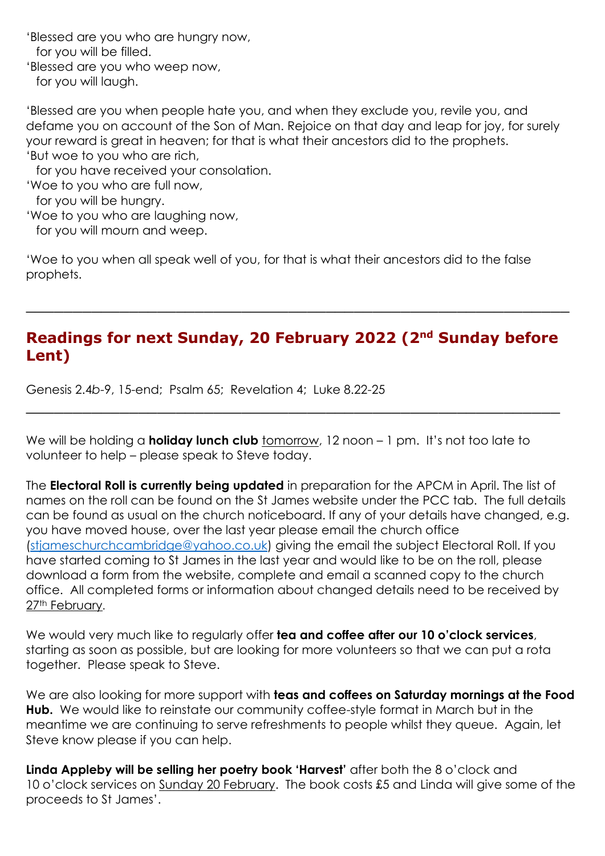'Blessed are you who are hungry now, for you will be filled. 'Blessed are you who weep now,

for you will laugh.

'Blessed are you when people hate you, and when they exclude you, revile you, and defame you on account of the Son of Man. Rejoice on that day and leap for joy, for surely your reward is great in heaven; for that is what their ancestors did to the prophets. 'But woe to you who are rich,

for you have received your consolation.

'Woe to you who are full now,

for you will be hungry.

'Woe to you who are laughing now,

for you will mourn and weep.

'Woe to you when all speak well of you, for that is what their ancestors did to the false prophets.

# **Readings for next Sunday, 20 February 2022 (2nd Sunday before Lent)**

\_\_\_\_\_\_\_\_\_\_\_\_\_\_\_\_\_\_\_\_\_\_\_\_\_\_\_\_\_\_\_\_\_\_\_\_\_\_\_\_\_\_\_\_\_\_\_\_\_\_\_\_\_\_\_\_\_

\_\_\_\_\_\_\_\_\_\_\_\_\_\_\_\_\_\_\_\_\_\_\_\_\_\_\_\_\_\_\_\_\_\_\_\_\_\_\_\_\_\_\_\_\_\_\_\_\_\_\_\_\_\_\_\_\_\_

Genesis 2.4*b*-9, 15-end; Psalm 65; Revelation 4; Luke 8.22-25

We will be holding a **holiday lunch club** tomorrow, 12 noon – 1 pm. It's not too late to volunteer to help – please speak to Steve today.

The **Electoral Roll is currently being updated** in preparation for the APCM in April. The list of names on the roll can be found on the St James website under the PCC tab. The full details can be found as usual on the church noticeboard. If any of your details have changed, e.g. you have moved house, over the last year please email the church office [\(stjameschurchcambridge@yahoo.co.uk\)](mailto:stjameschurchcambridge@yahoo.co.uk) giving the email the subject Electoral Roll. If you have started coming to St James in the last year and would like to be on the roll, please download a form from the website, complete and email a scanned copy to the church office. All completed forms or information about changed details need to be received by 27<sup>th</sup> February.

We would very much like to regularly offer **tea and coffee after our 10 o'clock services**, starting as soon as possible, but are looking for more volunteers so that we can put a rota together. Please speak to Steve.

We are also looking for more support with **teas and coffees on Saturday mornings at the Food Hub.** We would like to reinstate our community coffee-style format in March but in the meantime we are continuing to serve refreshments to people whilst they queue. Again, let Steve know please if you can help.

**Linda Appleby will be selling her poetry book 'Harvest'** after both the 8 o'clock and 10 o'clock services on Sunday 20 February. The book costs £5 and Linda will give some of the proceeds to St James'.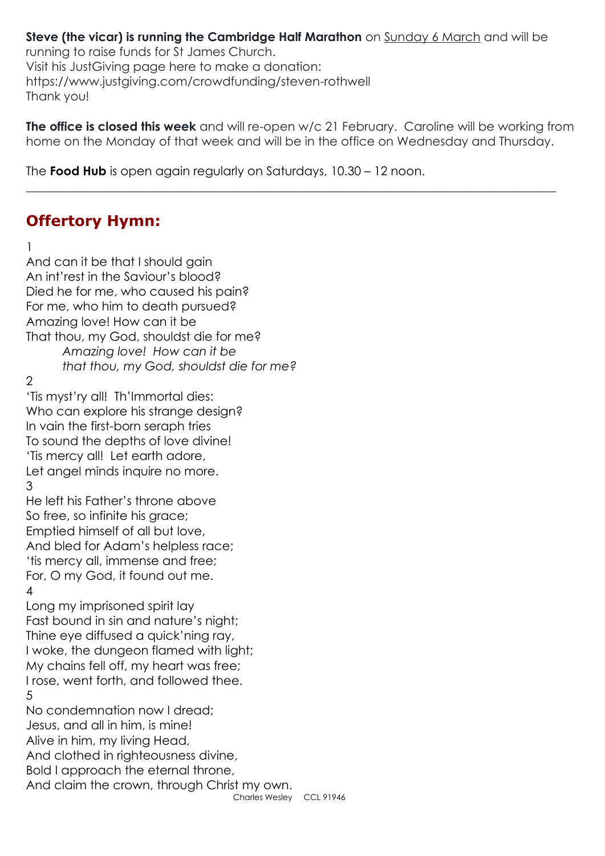**Steve (the vicar) is running the Cambridge Half Marathon** on Sunday 6 March and will be

running to raise funds for St James Church. Visit his JustGiving page here to make a donation: https://www.justgiving.com/crowdfunding/steven-rothwell Thank you!

**The office is closed this week** and will re-open w/c 21 February. Caroline will be working from home on the Monday of that week and will be in the office on Wednesday and Thursday.

 $\_$  , and the set of the set of the set of the set of the set of the set of the set of the set of the set of the set of the set of the set of the set of the set of the set of the set of the set of the set of the set of th

The **Food Hub** is open again regularly on Saturdays, 10.30 – 12 noon.

# **Offertory Hymn:**

1

And can it be that I should gain An int'rest in the Saviour's blood? Died he for me, who caused his pain? For me, who him to death pursued? Amazing love! How can it be That thou, my God, shouldst die for me? *Amazing love! How can it be*

*that thou, my God, shouldst die for me?*

2

'Tis myst'ry all! Th'Immortal dies: Who can explore his strange design? In vain the first-born seraph tries To sound the depths of love divine! 'Tis mercy all! Let earth adore, Let angel minds inquire no more. 3

He left his Father's throne above So free, so infinite his grace; Emptied himself of all but love, And bled for Adam's helpless race; 'tis mercy all, immense and free; For, O my God, it found out me. 4

Long my imprisoned spirit lay Fast bound in sin and nature's night; Thine eye diffused a quick'ning ray, I woke, the dungeon flamed with light; My chains fell off, my heart was free; I rose, went forth, and followed thee. 5

No condemnation now I dread; Jesus, and all in him, is mine! Alive in him, my living Head, And clothed in righteousness divine, Bold I approach the eternal throne, And claim the crown, through Christ my own.